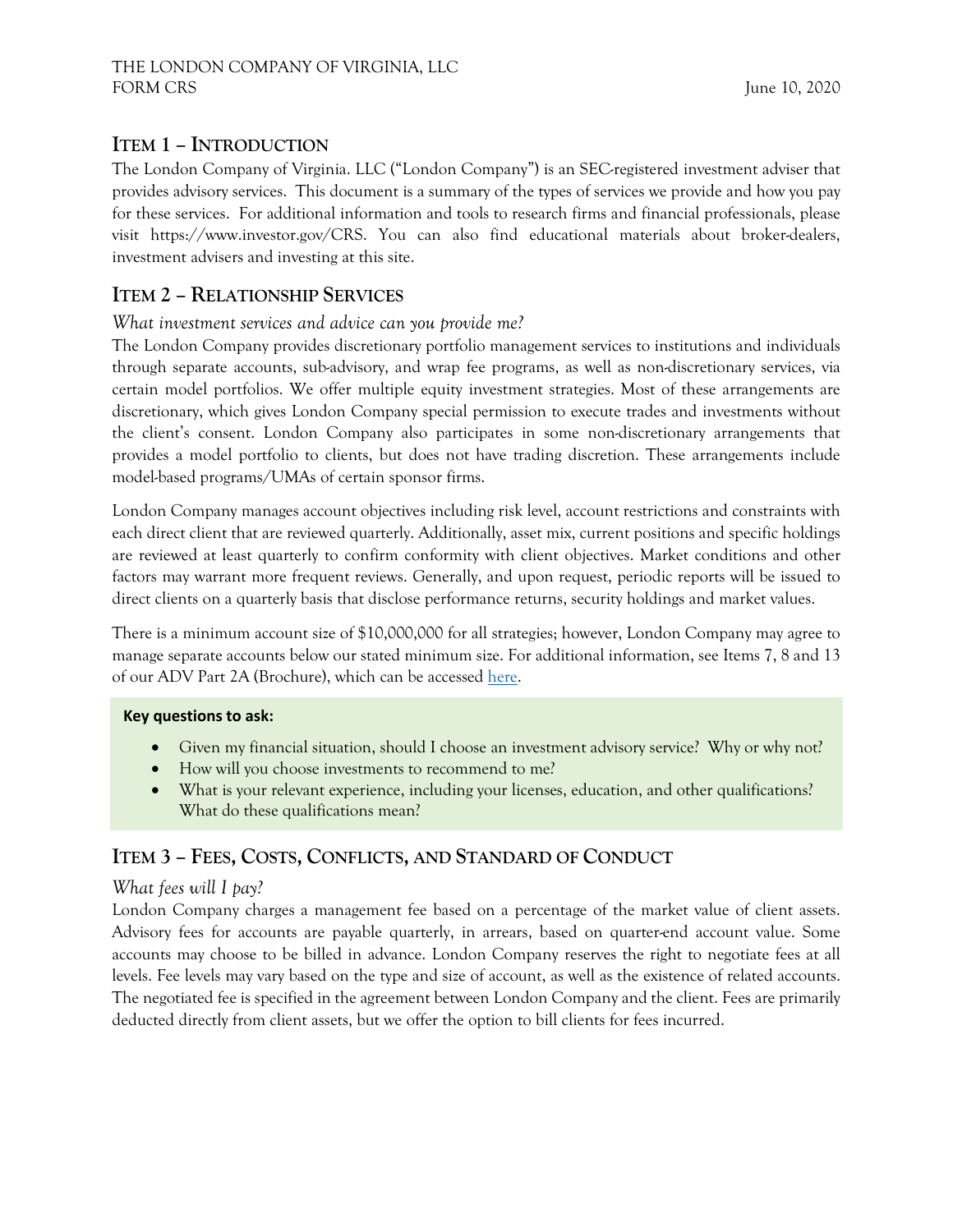# **ITEM 1 – INTRODUCTION**

The London Company of Virginia. LLC ("London Company") is an SEC-registered investment adviser that provides advisory services. This document is a summary of the types of services we provide and how you pay for these services. For additional information and tools to research firms and financial professionals, please visit https://www.investor.gov/CRS. You can also find educational materials about broker-dealers, investment advisers and investing at this site.

## **ITEM 2 – RELATIONSHIP SERVICES**

### *What investment services and advice can you provide me?*

The London Company provides discretionary portfolio management services to institutions and individuals through separate accounts, sub-advisory, and wrap fee programs, as well as non-discretionary services, via certain model portfolios. We offer multiple equity investment strategies. Most of these arrangements are discretionary, which gives London Company special permission to execute trades and investments without the client's consent. London Company also participates in some non-discretionary arrangements that provides a model portfolio to clients, but does not have trading discretion. These arrangements include model-based programs/UMAs of certain sponsor firms.

London Company manages account objectives including risk level, account restrictions and constraints with each direct client that are reviewed quarterly. Additionally, asset mix, current positions and specific holdings are reviewed at least quarterly to confirm conformity with client objectives. Market conditions and other factors may warrant more frequent reviews. Generally, and upon request, periodic reports will be issued to direct clients on a quarterly basis that disclose performance returns, security holdings and market values.

There is a minimum account size of \$10,000,000 for all strategies; however, London Company may agree to manage separate accounts below our stated minimum size. For additional information, see Items 7, 8 and 13 of our ADV Part 2A (Brochure), which can be accessed [here.](https://www.tlcadvisory.com/)

#### **Key questions to ask:**

- Given my financial situation, should I choose an investment advisory service? Why or why not?
- How will you choose investments to recommend to me?
- What is your relevant experience, including your licenses, education, and other qualifications? What do these qualifications mean?

# **ITEM 3 – FEES, COSTS, CONFLICTS, AND STANDARD OF CONDUCT**

### *What fees will I pay?*

London Company charges a management fee based on a percentage of the market value of client assets. Advisory fees for accounts are payable quarterly, in arrears, based on quarter-end account value. Some accounts may choose to be billed in advance. London Company reserves the right to negotiate fees at all levels. Fee levels may vary based on the type and size of account, as well as the existence of related accounts. The negotiated fee is specified in the agreement between London Company and the client. Fees are primarily deducted directly from client assets, but we offer the option to bill clients for fees incurred.